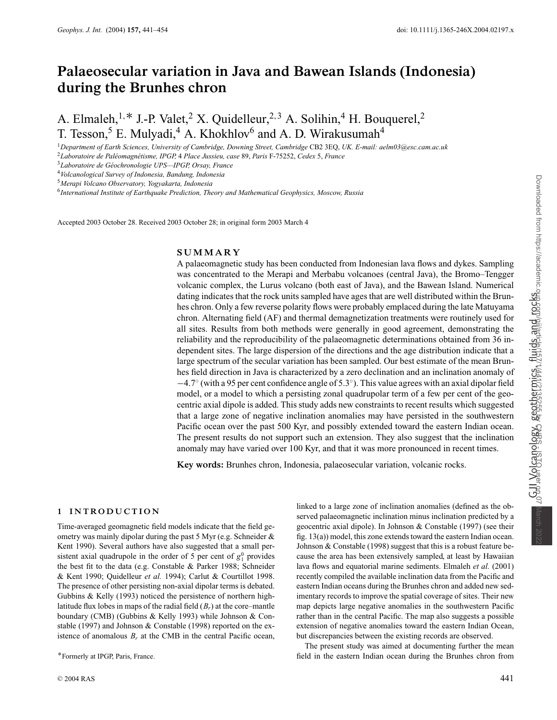# **Palaeosecular variation in Java and Bawean Islands (Indonesia) during the Brunhes chron**

A. Elmaleh,<sup>1,\*</sup> J.-P. Valet,<sup>2</sup> X. Quidelleur,<sup>2,3</sup> A. Solihin,<sup>4</sup> H. Bouquerel,<sup>2</sup> T. Tesson,<sup>5</sup> E. Mulyadi,<sup>4</sup> A. Khokhlov<sup>6</sup> and A. D. Wirakusumah<sup>4</sup>

<sup>1</sup>*Department of Earth Sciences, University of Cambridge, Downing Street, Cambridge* CB2 3EQ, *UK. E-mail: aelm03@esc.cam.ac.uk* <sup>2</sup>*Laboratoire de Pal´eomagn´etisme, IPGP,* 4 *Place Jussieu, case* 89, *Paris* F-75252, *Cedex* 5, *France*

<sup>3</sup>*Laboratoire de G´eochronologie UPS—IPGP, Orsay, France*

<sup>4</sup>*Volcanological Survey of Indonesia, Bandung, Indonesia*

<sup>5</sup>*Merapi Volcano Observatory, Yogyakarta, Indonesia*

<sup>6</sup>*International Institute of Earthquake Prediction, Theory and Mathematical Geophysics, Moscow, Russia*

Accepted 2003 October 28. Received 2003 October 28; in original form 2003 March 4

## **SUMMARY**

A palaeomagnetic study has been conducted from Indonesian lava flows and dykes. Sampling was concentrated to the Merapi and Merbabu volcanoes (central Java), the Bromo–Tengger volcanic complex, the Lurus volcano (both east of Java), and the Bawean Island. Numerical dating indicates that the rock units sampled have ages that are well distributed within the Brunhes chron. Only a few reverse polarity flows were probably emplaced during the late Matuyama chron. Alternating field (AF) and thermal demagnetization treatments were routinely used for all sites. Results from both methods were generally in good agreement, demonstrating the reliability and the reproducibility of the palaeomagnetic determinations obtained from 36 independent sites. The large dispersion of the directions and the age distribution indicate that a large spectrum of the secular variation has been sampled. Our best estimate of the mean Brunhes field direction in Java is characterized by a zero declination and an inclination anomaly of −4.7◦ (with a 95 per cent confidence angle of 5.3◦). This value agrees with an axial dipolar field model, or a model to which a persisting zonal quadrupolar term of a few per cent of the geocentric axial dipole is added. This study adds new constraints to recent results which suggested that a large zone of negative inclination anomalies may have persisted in the southwestern Pacific ocean over the past 500 Kyr, and possibly extended toward the eastern Indian ocean. The present results do not support such an extension. They also suggest that the inclination anomaly may have varied over 100 Kyr, and that it was more pronounced in recent times.

**Key words:** Brunhes chron, Indonesia, palaeosecular variation, volcanic rocks.

## **1 INTRODUCTION**

Time-averaged geomagnetic field models indicate that the field geometry was mainly dipolar during the past 5 Myr (e.g. Schneider & Kent 1990). Several authors have also suggested that a small persistent axial quadrupole in the order of 5 per cent of  $g_1^0$  provides the best fit to the data (e.g. Constable & Parker 1988; Schneider & Kent 1990; Quidelleur *et al.* 1994); Carlut & Courtillot 1998. The presence of other persisting non-axial dipolar terms is debated. Gubbins & Kelly (1993) noticed the persistence of northern highlatitude flux lobes in maps of the radial field (*Br*) at the core–mantle boundary (CMB) (Gubbins & Kelly 1993) while Johnson & Constable (1997) and Johnson & Constable (1998) reported on the existence of anomalous  $B_r$  at the CMB in the central Pacific ocean,

∗Formerly at IPGP, Paris, France.

linked to a large zone of inclination anomalies (defined as the observed palaeomagnetic inclination minus inclination predicted by a geocentric axial dipole). In Johnson & Constable (1997) (see their fig. 13(a)) model, this zone extends toward the eastern Indian ocean. Johnson & Constable (1998) suggest that this is a robust feature because the area has been extensively sampled, at least by Hawaiian lava flows and equatorial marine sediments. Elmaleh *et al.* (2001) recently compiled the available inclination data from the Pacific and eastern Indian oceans during the Brunhes chron and added new sedimentary records to improve the spatial coverage of sites. Their new map depicts large negative anomalies in the southwestern Pacific rather than in the central Pacific. The map also suggests a possible extension of negative anomalies toward the eastern Indian Ocean, but discrepancies between the existing records are observed.

The present study was aimed at documenting further the mean field in the eastern Indian ocean during the Brunhes chron from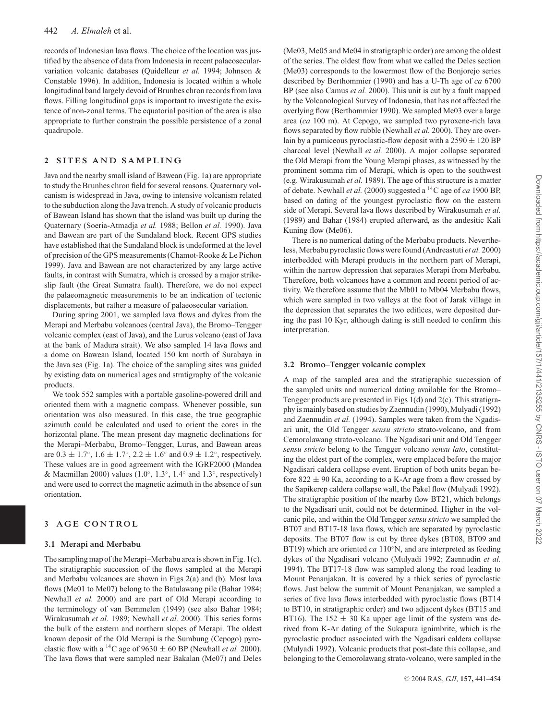records of Indonesian lava flows. The choice of the location was justified by the absence of data from Indonesia in recent palaeosecularvariation volcanic databases (Quidelleur *et al.* 1994; Johnson & Constable 1996). In addition, Indonesia is located within a whole longitudinal band largely devoid of Brunhes chron records from lava flows. Filling longitudinal gaps is important to investigate the existence of non-zonal terms. The equatorial position of the area is also appropriate to further constrain the possible persistence of a zonal quadrupole.

#### **2 SITES AND SAMPLING**

Java and the nearby small island of Bawean (Fig. 1a) are appropriate to study the Brunhes chron field for several reasons. Quaternary volcanism is widespread in Java, owing to intensive volcanism related to the subduction along the Java trench. A study of volcanic products of Bawean Island has shown that the island was built up during the Quaternary (Soeria-Atmadja *et al.* 1988; Bellon *et al.* 1990). Java and Bawean are part of the Sundaland block. Recent GPS studies have established that the Sundaland block is undeformed at the level of precision of the GPS measurements (Chamot-Rooke & Le Pichon 1999). Java and Bawean are not characterized by any large active faults, in contrast with Sumatra, which is crossed by a major strikeslip fault (the Great Sumatra fault). Therefore, we do not expect the palaeomagnetic measurements to be an indication of tectonic displacements, but rather a measure of palaeosecular variation.

During spring 2001, we sampled lava flows and dykes from the Merapi and Merbabu volcanoes (central Java), the Bromo–Tengger volcanic complex (east of Java), and the Lurus volcano (east of Java at the bank of Madura strait). We also sampled 14 lava flows and a dome on Bawean Island, located 150 km north of Surabaya in the Java sea (Fig. 1a). The choice of the sampling sites was guided by existing data on numerical ages and stratigraphy of the volcanic products.

We took 552 samples with a portable gasoline-powered drill and oriented them with a magnetic compass. Whenever possible, sun orientation was also measured. In this case, the true geographic azimuth could be calculated and used to orient the cores in the horizontal plane. The mean present day magnetic declinations for the Merapi–Merbabu, Bromo–Tengger, Lurus, and Bawean areas are  $0.3 \pm 1.7^{\circ}$ ,  $1.6 \pm 1.7^{\circ}$ ,  $2.2 \pm 1.6^{\circ}$  and  $0.9 \pm 1.2^{\circ}$ , respectively. These values are in good agreement with the IGRF2000 (Mandea & Macmillan 2000) values (1.0 $\degree$ , 1.3 $\degree$ , 1.4 $\degree$  and 1.3 $\degree$ , respectively) and were used to correct the magnetic azimuth in the absence of sun orientation.

## **3 AGE CONTROL**

#### **3.1 Merapi and Merbabu**

The sampling map of the Merapi–Merbabu area is shown in Fig. 1(c). The stratigraphic succession of the flows sampled at the Merapi and Merbabu volcanoes are shown in Figs 2(a) and (b). Most lava flows (Me01 to Me07) belong to the Batulawang pile (Bahar 1984; Newhall *et al.* 2000) and are part of Old Merapi according to the terminology of van Bemmelen (1949) (see also Bahar 1984; Wirakusumah *et al.* 1989; Newhall *et al.* 2000). This series forms the bulk of the eastern and northern slopes of Merapi. The oldest known deposit of the Old Merapi is the Sumbung (Cepogo) pyroclastic flow with a <sup>14</sup>C age of 9630  $\pm$  60 BP (Newhall *et al.* 2000). The lava flows that were sampled near Bakalan (Me07) and Deles

(Me03, Me05 and Me04 in stratigraphic order) are among the oldest of the series. The oldest flow from what we called the Deles section (Me03) corresponds to the lowermost flow of the Bonjorejo series described by Berthommier (1990) and has a U-Th age of *ca* 6700 BP (see also Camus *et al.* 2000). This unit is cut by a fault mapped by the Volcanological Survey of Indonesia, that has not affected the overlying flow (Berthommier 1990). We sampled Me03 over a large area (*ca* 100 m). At Cepogo, we sampled two pyroxene-rich lava flows separated by flow rubble (Newhall *et al.* 2000). They are overlain by a pumiceous pyroclastic-flow deposit with a  $2590 \pm 120$  BP charcoal level (Newhall *et al.* 2000). A major collapse separated the Old Merapi from the Young Merapi phases, as witnessed by the prominent somma rim of Merapi, which is open to the southwest (e.g. Wirakusumah *et al.* 1989). The age of this structure is a matter of debate. Newhall *et al.* (2000) suggested a 14C age of *ca* 1900 BP, based on dating of the youngest pyroclastic flow on the eastern side of Merapi. Several lava flows described by Wirakusumah *et al.* (1989) and Bahar (1984) erupted afterward, as the andesitic Kali Kuning flow (Me06).

There is no numerical dating of the Merbabu products. Nevertheless, Merbabu pyroclastic flows were found (Andreastuti *et al.* 2000) interbedded with Merapi products in the northern part of Merapi, within the narrow depression that separates Merapi from Merbabu. Therefore, both volcanoes have a common and recent period of activity. We therefore assume that the Mb01 to Mb04 Merbabu flows, which were sampled in two valleys at the foot of Jarak village in the depression that separates the two edifices, were deposited during the past 10 Kyr, although dating is still needed to confirm this interpretation.

#### **3.2 Bromo–Tengger volcanic complex**

A map of the sampled area and the stratigraphic succession of the sampled units and numerical dating available for the Bromo– Tengger products are presented in Figs 1(d) and 2(c). This stratigraphy is mainly based on studies by Zaennudin (1990), Mulyadi (1992) and Zaennudin *et al.* (1994). Samples were taken from the Ngadisari unit, the Old Tengger *sensu stricto* strato-volcano, and from Cemorolawang strato-volcano. The Ngadisari unit and Old Tengger *sensu stricto* belong to the Tengger volcano *sensu lato*, constituting the oldest part of the complex, were emplaced before the major Ngadisari caldera collapse event. Eruption of both units began before  $822 \pm 90$  Ka, according to a K-Ar age from a flow crossed by the Sapikerep caldera collapse wall, the Pakel flow (Mulyadi 1992). The stratigraphic position of the nearby flow BT21, which belongs to the Ngadisari unit, could not be determined. Higher in the volcanic pile, and within the Old Tengger *sensu stricto* we sampled the BT07 and BT17-18 lava flows, which are separated by pyroclastic deposits. The BT07 flow is cut by three dykes (BT08, BT09 and BT19) which are oriented *ca* 110<sup>°</sup>N, and are interpreted as feeding dykes of the Ngadisari volcano (Mulyadi 1992; Zaennudin *et al.* 1994). The BT17-18 flow was sampled along the road leading to Mount Penanjakan. It is covered by a thick series of pyroclastic flows. Just below the summit of Mount Penanjakan, we sampled a series of five lava flows interbedded with pyroclastic flows (BT14 to BT10, in stratigraphic order) and two adjacent dykes (BT15 and BT16). The 152  $\pm$  30 Ka upper age limit of the system was derived from K-Ar dating of the Sukapura ignimbrite, which is the pyroclastic product associated with the Ngadisari caldera collapse (Mulyadi 1992). Volcanic products that post-date this collapse, and belonging to the Cemorolawang strato-volcano, were sampled in the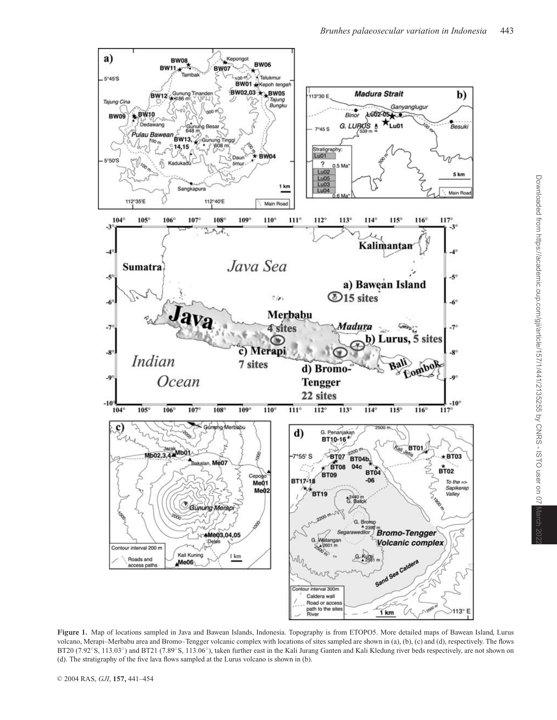

**Figure 1.** Map of locations sampled in Java and Bawean Islands, Indonesia. Topography is from ETOPO5. More detailed maps of Bawean Island, Lurus volcano, Merapi–Merbabu area and Bromo–Tengger volcanic complex with locations of sites sampled are shown in (a), (b), (c) and (d), respectively. The flows BT20 (7.92°S, 113.03°) and BT21 (7.89°S, 113.06°), taken further east in the Kali Jurang Ganten and Kali Kledung river beds respectively, are not shown on (d). The stratigraphy of the five lava flows sampled at the Lurus volcano is shown in (b).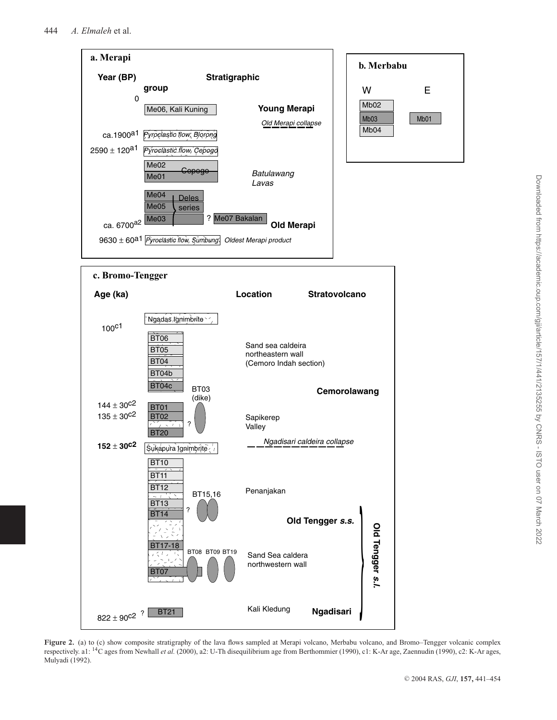

**Figure 2.** (a) to (c) show composite stratigraphy of the lava flows sampled at Merapi volcano, Merbabu volcano, and Bromo–Tengger volcanic complex respectively. a1: 14C ages from Newhall *et al.* (2000), a2: U-Th disequilibrium age from Berthommier (1990), c1: K-Ar age, Zaennudin (1990), c2: K-Ar ages, Mulyadi (1992).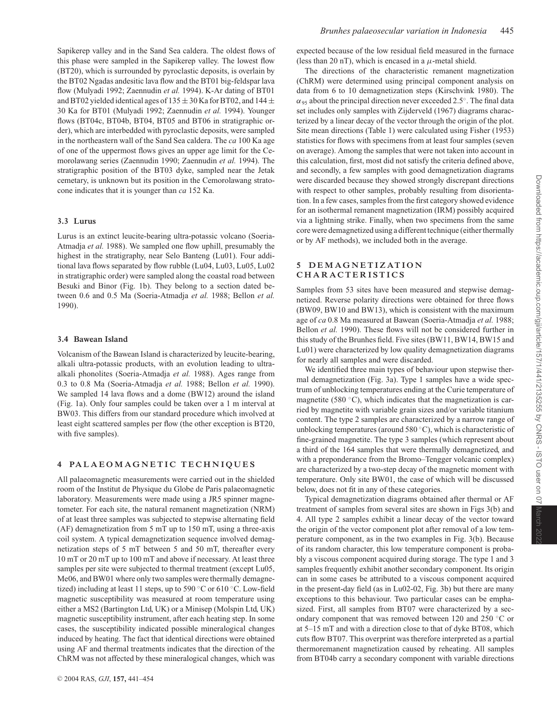Sapikerep valley and in the Sand Sea caldera. The oldest flows of this phase were sampled in the Sapikerep valley. The lowest flow (BT20), which is surrounded by pyroclastic deposits, is overlain by the BT02 Ngadas andesitic lava flow and the BT01 big-feldspar lava flow (Mulyadi 1992; Zaennudin *et al.* 1994). K-Ar dating of BT01 and BT02 yielded identical ages of  $135 \pm 30$  Ka for BT02, and  $144 \pm$ 30 Ka for BT01 (Mulyadi 1992; Zaennudin *et al.* 1994). Younger flows (BT04c, BT04b, BT04, BT05 and BT06 in stratigraphic order), which are interbedded with pyroclastic deposits, were sampled in the northeastern wall of the Sand Sea caldera. The *ca* 100 Ka age of one of the uppermost flows gives an upper age limit for the Cemorolawang series (Zaennudin 1990; Zaennudin *et al.* 1994). The stratigraphic position of the BT03 dyke, sampled near the Jetak cemetary, is unknown but its position in the Cemorolawang stratocone indicates that it is younger than *ca* 152 Ka.

#### **3.3 Lurus**

Lurus is an extinct leucite-bearing ultra-potassic volcano (Soeria-Atmadja *et al.* 1988). We sampled one flow uphill, presumably the highest in the stratigraphy, near Selo Banteng (Lu01). Four additional lava flows separated by flow rubble (Lu04, Lu03, Lu05, Lu02 in stratigraphic order) were sampled along the coastal road between Besuki and Binor (Fig. 1b). They belong to a section dated between 0.6 and 0.5 Ma (Soeria-Atmadja *et al.* 1988; Bellon *et al.* 1990).

## **3.4 Bawean Island**

Volcanism of the Bawean Island is characterized by leucite-bearing, alkali ultra-potassic products, with an evolution leading to ultraalkali phonolites (Soeria-Atmadja *et al.* 1988). Ages range from 0.3 to 0.8 Ma (Soeria-Atmadja *et al.* 1988; Bellon *et al.* 1990). We sampled 14 lava flows and a dome (BW12) around the island (Fig. 1a). Only four samples could be taken over a 1 m interval at BW03. This differs from our standard procedure which involved at least eight scattered samples per flow (the other exception is BT20, with five samples).

## **4 PALAEOMAGNETIC TECHNIQUES**

All palaeomagnetic measurements were carried out in the shielded room of the Institut de Physique du Globe de Paris palaeomagnetic laboratory. Measurements were made using a JR5 spinner magnetometer. For each site, the natural remanent magnetization (NRM) of at least three samples was subjected to stepwise alternating field (AF) demagnetization from 5 mT up to 150 mT, using a three-axis coil system. A typical demagnetization sequence involved demagnetization steps of 5 mT between 5 and 50 mT, thereafter every 10 mT or 20 mT up to 100 mT and above if necessary. At least three samples per site were subjected to thermal treatment (except Lu05, Me06, and BW01 where only two samples were thermally demagnetized) including at least 11 steps, up to 590 ◦C or 610 ◦C. Low-field magnetic susceptibility was measured at room temperature using either a MS2 (Bartington Ltd, UK) or a Minisep (Molspin Ltd, UK) magnetic susceptibility instrument, after each heating step. In some cases, the susceptibility indicated possible mineralogical changes induced by heating. The fact that identical directions were obtained using AF and thermal treatments indicates that the direction of the ChRM was not affected by these mineralogical changes, which was

expected because of the low residual field measured in the furnace (less than 20 nT), which is encased in a  $\mu$ -metal shield.

The directions of the characteristic remanent magnetization (ChRM) were determined using principal component analysis on data from 6 to 10 demagnetization steps (Kirschvink 1980). The  $\alpha_{95}$  about the principal direction never exceeded 2.5°. The final data set includes only samples with Zijderveld (1967) diagrams characterized by a linear decay of the vector through the origin of the plot. Site mean directions (Table 1) were calculated using Fisher (1953) statistics for flows with specimens from at least four samples (seven on average). Among the samples that were not taken into account in this calculation, first, most did not satisfy the criteria defined above, and secondly, a few samples with good demagnetization diagrams were discarded because they showed strongly discrepant directions with respect to other samples, probably resulting from disorientation. In a few cases, samples from the first category showed evidence for an isothermal remanent magnetization (IRM) possibly acquired via a lightning strike. Finally, when two specimens from the same core were demagnetized using a different technique (either thermally or by AF methods), we included both in the average.

#### **5 DEMAGNETIZATION CHARACTERISTICS**

Samples from 53 sites have been measured and stepwise demagnetized. Reverse polarity directions were obtained for three flows (BW09, BW10 and BW13), which is consistent with the maximum age of *ca* 0.8 Ma measured at Bawean (Soeria-Atmadja *et al.* 1988; Bellon *et al.* 1990). These flows will not be considered further in this study of the Brunhes field. Five sites (BW11, BW14, BW15 and Lu01) were characterized by low quality demagnetization diagrams for nearly all samples and were discarded.

We identified three main types of behaviour upon stepwise thermal demagnetization (Fig. 3a). Type 1 samples have a wide spectrum of unblocking temperatures ending at the Curie temperature of magnetite (580 $\degree$ C), which indicates that the magnetization is carried by magnetite with variable grain sizes and/or variable titanium content. The type 2 samples are characterized by a narrow range of unblocking temperatures (around 580 $°C$ ), which is characteristic of fine-grained magnetite. The type 3 samples (which represent about a third of the 164 samples that were thermally demagnetized, and with a preponderance from the Bromo–Tengger volcanic complex) are characterized by a two-step decay of the magnetic moment with temperature. Only site BW01, the case of which will be discussed below, does not fit in any of these categories.

Typical demagnetization diagrams obtained after thermal or AF treatment of samples from several sites are shown in Figs 3(b) and 4. All type 2 samples exhibit a linear decay of the vector toward the origin of the vector component plot after removal of a low temperature component, as in the two examples in Fig. 3(b). Because of its random character, this low temperature component is probably a viscous component acquired during storage. The type 1 and 3 samples frequently exhibit another secondary component. Its origin can in some cases be attributed to a viscous component acquired in the present-day field (as in Lu02-02, Fig. 3b) but there are many exceptions to this behaviour. Two particular cases can be emphasized. First, all samples from BT07 were characterized by a secondary component that was removed between 120 and 250 ◦C or at 5–15 mT and with a direction close to that of dyke BT08, which cuts flow BT07. This overprint was therefore interpreted as a partial thermoremanent magnetization caused by reheating. All samples from BT04b carry a secondary component with variable directions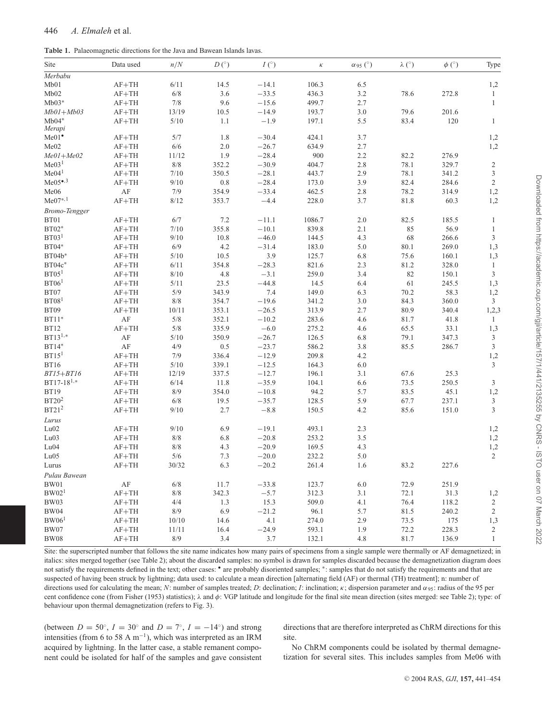**Table 1.** Palaeomagnetic directions for the Java and Bawean Islands lavas.

| Site                 | Data used | n/N   | D <sup>°</sup> | $I(^\circ)$ | $\kappa$ | $\alpha$ 95 ( $\degree$ ) | $\lambda$ (°) | $\phi$ (°) | Type                        |
|----------------------|-----------|-------|----------------|-------------|----------|---------------------------|---------------|------------|-----------------------------|
| Merbabu              |           |       |                |             |          |                           |               |            |                             |
| Mb01                 | $AF+TH$   | 6/11  | 14.5           | $-14.1$     | 106.3    | 6.5                       |               |            | 1,2                         |
| Mb02                 | $AF+TH$   | 6/8   | 3.6            | $-33.5$     | 436.3    | 3.2                       | 78.6          | 272.8      | $\mathbf{1}$                |
| $Mb03*$              | $AF+TH$   | $7/8$ | 9.6            | $-15.6$     | 499.7    | 2.7                       |               |            | $\mathbf{1}$                |
| $Mb01+Mb03$          | $AF+TH$   | 13/19 | 10.5           | $-14.9$     | 193.7    | 3.0                       | 79.6          | 201.6      |                             |
| $Mb04*$              | $AF+TH$   | 5/10  | 1.1            | $-1.9$      | 197.1    | 5.5                       | 83.4          | 120        | $\mathbf{1}$                |
| Merapi               |           |       |                |             |          |                           |               |            |                             |
| $Me01^{\circ}$       | $AF+TH$   | 5/7   | 1.8            | $-30.4$     | 424.1    | 3.7                       |               |            | 1,2                         |
| Me02                 | $AF+TH$   | 6/6   | 2.0            | $-26.7$     | 634.9    | 2.7                       |               |            | 1,2                         |
| $Me01+Me02$          | $AF+TH$   | 11/12 | 1.9            | $-28.4$     | 900      | 2.2                       | 82.2          | 276.9      |                             |
| Me03 <sup>1</sup>    | $AF+TH$   | $8/8$ | 352.2          | $-30.9$     | 404.7    | 2.8                       | 78.1          | 329.7      | $\overline{c}$              |
| Me04 <sup>1</sup>    | $AF+TH$   | 7/10  | 350.5          | $-28.1$     | 443.7    | 2.9                       | 78.1          | 341.2      | $\mathfrak{Z}$              |
| $Me05^{\bullet,3}$   | $AF+TH$   | 9/10  | $0.8\,$        | $-28.4$     | 173.0    | 3.9                       | 82.4          | 284.6      | $\sqrt{2}$                  |
| Me06                 | AF        | 7/9   | 354.9          | $-33.4$     | 462.5    | 2.8                       | 78.2          | 314.9      | 1,2                         |
| $Me07^{*,1}$         | $AF+TH$   | 8/12  | 353.7          | $-4.4$      | 228.0    | 3.7                       | 81.8          | 60.3       | 1,2                         |
| <b>Bromo-Tengger</b> |           |       |                |             |          |                           |               |            |                             |
| BT01                 | $AF+TH$   | 6/7   | 7.2            | $-11.1$     | 1086.7   | 2.0                       | 82.5          | 185.5      | $\mathbf{1}$                |
| $BT02*$              | $AF+TH$   | 7/10  | 355.8          | $-10.1$     | 839.8    | 2.1                       | 85            | 56.9       | $\mathbf{1}$                |
| BT03 <sup>1</sup>    | $AF+TH$   | 9/10  | 10.8           | $-46.0$     | 144.5    | 4.3                       | 68            | 266.6      | $\mathfrak z$               |
| $BT04*$              | $AF+TH$   | 6/9   | 4.2            | $-31.4$     | 183.0    | 5.0                       | 80.1          | 269.0      | 1,3                         |
| $BT04b*$             | $AF+TH$   | 5/10  | 10.5           | 3.9         | 125.7    | 6.8                       | 75.6          | 160.1      | 1,3                         |
| $BT04c*$             | $AF+TH$   | 6/11  | 354.8          | $-28.3$     | 821.6    | 2.3                       | 81.2          | 328.0      | $\mathbf{1}$                |
| BT05 <sup>1</sup>    | $AF+TH$   | 8/10  | 4.8            | $-3.1$      | 259.0    | 3.4                       | 82            | 150.1      | $\mathfrak{Z}$              |
| BT06 <sup>1</sup>    | $AF+TH$   | 5/11  | 23.5           | $-44.8$     | 14.5     | 6.4                       | 61            | 245.5      | 1,3                         |
| BT07                 | $AF+TH$   | 5/9   | 343.9          | 7.4         | 149.0    | 6.3                       | 70.2          | 58.3       | 1,2                         |
| BT08 <sup>1</sup>    | $AF+TH$   | $8/8$ | 354.7          | $-19.6$     | 341.2    | 3.0                       | 84.3          | 360.0      | $\mathfrak{Z}$              |
| <b>BT09</b>          | $AF+TH$   | 10/11 | 353.1          | $-26.5$     | 313.9    | 2.7                       | 80.9          | 340.4      | 1,2,3                       |
| $BT11*$              | $\rm AF$  | $5/8$ | 352.1          | $-10.2$     | 283.6    | 4.6                       | 81.7          | 41.8       | $\mathbf{1}$                |
| <b>BT12</b>          | $AF+TH$   | 5/8   | 335.9          | $-6.0$      | 275.2    | 4.6                       | 65.5          | 33.1       | 1,3                         |
| $BT13^{1,*}$         | AF        | 5/10  | 350.9          | $-26.7$     | 126.5    | 6.8                       | 79.1          | 347.3      | $\ensuremath{\mathfrak{Z}}$ |
| $BT14*$              | AF        | 4/9   | $0.5\,$        | $-23.7$     | 586.2    | 3.8                       | 85.5          | 286.7      | $\ensuremath{\mathfrak{Z}}$ |
| BT15 <sup>1</sup>    | $AF+TH$   | 7/9   | 336.4          | $-12.9$     | 209.8    | 4.2                       |               |            | 1,2                         |
| <b>BT16</b>          | $AF+TH$   | 5/10  | 339.1          | $-12.5$     | 164.3    | 6.0                       |               |            | $\mathfrak{Z}$              |
| $BT15 + BT16$        | $AF+TH$   | 12/19 | 337.5          | $-12.7$     | 196.1    | 3.1                       | 67.6          | 25.3       |                             |
| $BT17-18^{1,*}$      | $AF+TH$   | 6/14  | 11.8           | $-35.9$     | 104.1    | 6.6                       | 73.5          | 250.5      | 3                           |
| <b>BT19</b>          | $AF+TH$   | 8/9   | 354.0          | $-10.8$     | 94.2     | 5.7                       | 83.5          | 45.1       | 1,2                         |
| BT20 <sup>2</sup>    | $AF+TH$   | 6/8   | 19.5           | $-35.7$     | 128.5    | 5.9                       | 67.7          | 237.1      | $\mathfrak{Z}$              |
| BT21 <sup>2</sup>    | $AF+TH$   | 9/10  | 2.7            | $-8.8$      | 150.5    | 4.2                       | 85.6          | 151.0      | $\mathfrak{Z}$              |
| Lurus                |           |       |                |             |          |                           |               |            |                             |
| Lu02                 | $AF+TH$   | 9/10  | 6.9            | $-19.1$     | 493.1    | 2.3                       |               |            | 1,2                         |
| Lu03                 | $AF+TH$   | $8/8$ | 6.8            | $-20.8$     | 253.2    | 3.5                       |               |            | 1,2                         |
| Lu04                 | $AF+TH$   | $8/8$ | 4.3            | $-20.9$     | 169.5    | 4.3                       |               |            | 1,2                         |
| Lu05                 | $AF+TH$   | 5/6   | 7.3            | $-20.0$     | 232.2    | 5.0                       |               |            | 2                           |
| Lurus                | $AF+TH$   | 30/32 | 6.3            | $-20.2$     | 261.4    | 1.6                       | 83.2          | 227.6      |                             |
| Pulau Bawean         |           |       |                |             |          |                           |               |            |                             |
| <b>BW01</b>          | $\rm AF$  | 6/8   | 11.7           | $-33.8$     | 123.7    | 6.0                       | 72.9          | 251.9      |                             |
| BW02 <sup>1</sup>    | $AF+TH$   | $8/8$ | 342.3          | $-5.7$      | 312.3    | 3.1                       | 72.1          | 31.3       | 1,2                         |
| <b>BW03</b>          | $AF+TH$   | 4/4   | 1.3            | 15.3        | 509.0    | 4.1                       | 76.4          | 118.2      | $\sqrt{2}$                  |
| <b>BW04</b>          | $AF+TH$   | 8/9   | 6.9            | $-21.2$     | 96.1     | 5.7                       | 81.5          | 240.2      | $\sqrt{2}$                  |
| BW06 <sup>1</sup>    | $AF+TH$   | 10/10 | 14.6           | 4.1         | 274.0    | 2.9                       | 73.5          | 175        | 1,3                         |
| $\rm BW07$           | $AF+TH$   | 11/11 | 16.4           | $-24.9$     | 593.1    | 1.9                       | 72.2          | 228.3      | $\overline{c}$              |
| <b>BW08</b>          | $AF+TH$   | $8/9$ | 3.4            | 3.7         | 132.1    | 4.8                       | 81.7          | 136.9      | $\mathbf{1}$                |
|                      |           |       |                |             |          |                           |               |            |                             |

Site: the superscripted number that follows the site name indicates how many pairs of specimens from a single sample were thermally or AF demagnetized; in italics: sites merged together (see Table 2); about the discarded samples: no symbol is drawn for samples discarded because the demagnetization diagram does not satisfy the requirements defined in the text; other cases: • are probably disoriented samples; \*: samples that do not satisfy the requirements and that are suspected of having been struck by lightning; data used: to calculate a mean direction [alternating field (AF) or thermal (TH) treatment]; n: number of directions used for calculating the mean; *N*: number of samples treated; *D*: declination; *I*: inclination; *κ*; dispersion parameter and  $\alpha_{95}$ : radius of the 95 per cent confidence cone (from Fisher (1953) statistics);  $\lambda$  and  $\phi$ : VGP latitude and longitude for the final site mean direction (sites merged: see Table 2); type: of behaviour upon thermal demagnetization (refers to Fig. 3).

(between  $D = 50^\circ$ ,  $I = 30^\circ$  and  $D = 7^\circ$ ,  $I = -14^\circ$ ) and strong intensities (from 6 to 58 A m<sup>-1</sup>), which was interpreted as an IRM acquired by lightning. In the latter case, a stable remanent component could be isolated for half of the samples and gave consistent directions that are therefore interpreted as ChRM directions for this site.

No ChRM components could be isolated by thermal demagnetization for several sites. This includes samples from Me06 with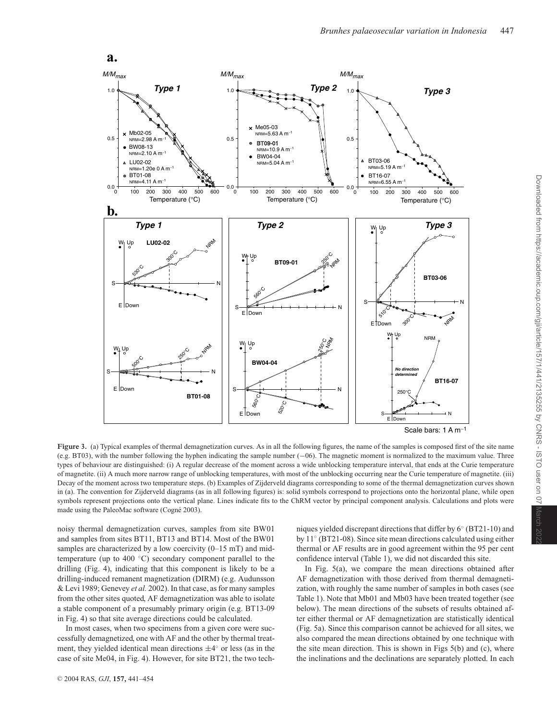

**Figure 3.** (a) Typical examples of thermal demagnetization curves. As in all the following figures, the name of the samples is composed first of the site name (e.g. BT03), with the number following the hyphen indicating the sample number (−06). The magnetic moment is normalized to the maximum value. Three types of behaviour are distinguished: (i) A regular decrease of the moment across a wide unblocking temperature interval, that ends at the Curie temperature of magnetite. (ii) A much more narrow range of unblocking temperatures, with most of the unblocking occurring near the Curie temperature of magnetite. (iii) Decay of the moment across two temperature steps. (b) Examples of Zijderveld diagrams corresponding to some of the thermal demagnetization curves shown in (a). The convention for Zijderveld diagrams (as in all following figures) is: solid symbols correspond to projections onto the horizontal plane, while open symbols represent projections onto the vertical plane. Lines indicate fits to the ChRM vector by principal component analysis. Calculations and plots were made using the PaleoMac software (Cogné 2003).

noisy thermal demagnetization curves, samples from site BW01 and samples from sites BT11, BT13 and BT14. Most of the BW01 samples are characterized by a low coercivity (0–15 mT) and midtemperature (up to 400 ◦C) secondary component parallel to the drilling (Fig. 4), indicating that this component is likely to be a drilling-induced remanent magnetization (DIRM) (e.g. Audunsson & Levi 1989; Genevey *et al.* 2002). In that case, as for many samples from the other sites quoted, AF demagnetization was able to isolate a stable component of a presumably primary origin (e.g. BT13-09 in Fig. 4) so that site average directions could be calculated.

In most cases, when two specimens from a given core were successfully demagnetized, one with AF and the other by thermal treatment, they yielded identical mean directions  $\pm 4°$  or less (as in the case of site Me04, in Fig. 4). However, for site BT21, the two techniques yielded discrepant directions that differ by 6◦ (BT21-10) and by 11◦ (BT21-08). Since site mean directions calculated using either thermal or AF results are in good agreement within the 95 per cent confidence interval (Table 1), we did not discarded this site.

In Fig. 5(a), we compare the mean directions obtained after AF demagnetization with those derived from thermal demagnetization, with roughly the same number of samples in both cases (see Table 1). Note that Mb01 and Mb03 have been treated together (see below). The mean directions of the subsets of results obtained after either thermal or AF demagnetization are statistically identical (Fig. 5a). Since this comparison cannot be achieved for all sites, we also compared the mean directions obtained by one technique with the site mean direction. This is shown in Figs 5(b) and (c), where the inclinations and the declinations are separately plotted. In each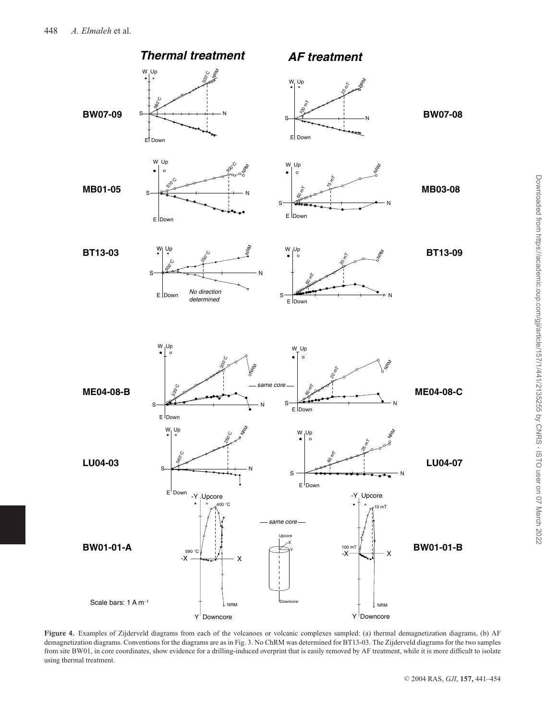

**Figure 4.** Examples of Zijderveld diagrams from each of the volcanoes or volcanic complexes sampled: (a) thermal demagnetization diagrams, (b) AF demagnetization diagrams. Conventions for the diagrams are as in Fig. 3. No ChRM was determined for BT13-03. The Zijderveld diagrams for the two samples from site BW01, in core coordinates, show evidence for a drilling-induced overprint that is easily removed by AF treatment, while it is more difficult to isolate using thermal treatment.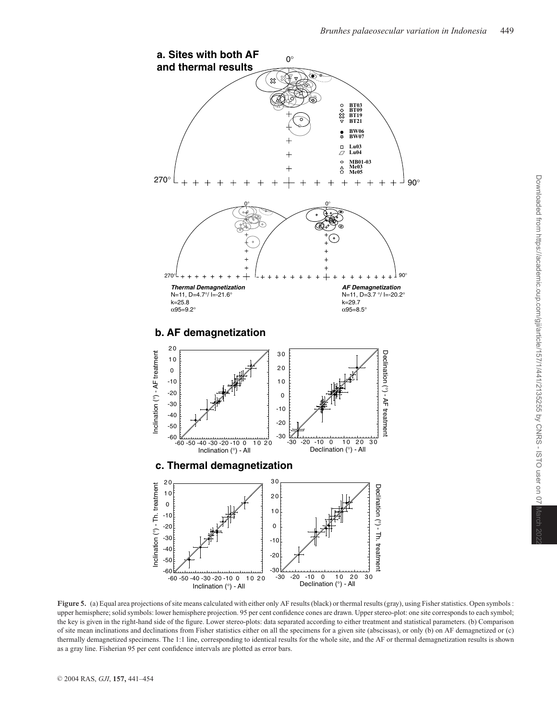

Figure 5. (a) Equal area projections of site means calculated with either only AF results (black) or thermal results (gray), using Fisher statistics. Open symbols : upper hemisphere; solid symbols: lower hemisphere projection. 95 per cent confidence cones are drawn. Upper stereo-plot: one site corresponds to each symbol; the key is given in the right-hand side of the figure. Lower stereo-plots: data separated according to either treatment and statistical parameters. (b) Comparison of site mean inclinations and declinations from Fisher statistics either on all the specimens for a given site (abscissas), or only (b) on AF demagnetized or (c) thermally demagnetized specimens. The 1:1 line, corresponding to identical results for the whole site, and the AF or thermal demagnetization results is shown as a gray line. Fisherian 95 per cent confidence intervals are plotted as error bars.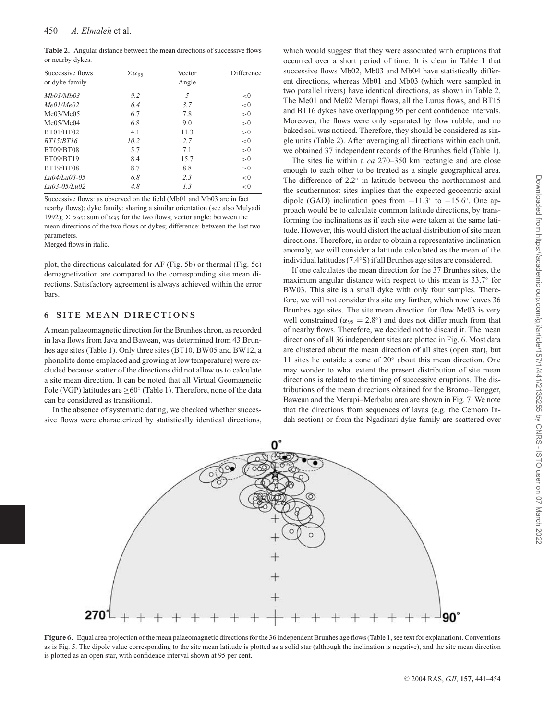**Table 2.** Angular distance between the mean directions of successive flows or nearby dykes.

| Successive flows | $\Sigma\alpha_{.95}$ | Vector | Difference |
|------------------|----------------------|--------|------------|
| or dyke family   |                      | Angle  |            |
| Mh01/Mh03        | 9.2                  | 5      | < 0        |
| Me01/Me02        | 6.4                  | 3.7    | < 0        |
| Me03/Me05        | 6.7                  | 7.8    | >0         |
| Me05/Me04        | 6.8                  | 9.0    | >0         |
| BT01/BT02        | 4.1                  | 11.3   | >0         |
| BT15/BT16        | 10.2                 | 2.7    | < 0        |
| <b>BT09/BT08</b> | 5.7                  | 7.1    | >0         |
| BT09/BT19        | 8.4                  | 15.7   | >0         |
| <b>BT19/BT08</b> | 8.7                  | 8.8    | $\sim 0$   |
| $Lu04/Lu03-05$   | 6.8                  | 2.3    | < 0        |
| $Lu03-0.5/Lu02$  | 4.8                  | 1.3    | < 0        |

Successive flows: as observed on the field (Mb01 and Mb03 are in fact nearby flows); dyke family: sharing a similar orientation (see also Mulyadi 1992); Σ  $\alpha$ 95: sum of  $\alpha$ 95 for the two flows; vector angle: between the mean directions of the two flows or dykes; difference: between the last two parameters.

Merged flows in italic.

plot, the directions calculated for AF (Fig. 5b) or thermal (Fig. 5c) demagnetization are compared to the corresponding site mean directions. Satisfactory agreement is always achieved within the error bars.

## **6 SITE MEAN DIRECTIONS**

A mean palaeomagnetic direction for the Brunhes chron, as recorded in lava flows from Java and Bawean, was determined from 43 Brunhes age sites (Table 1). Only three sites (BT10, BW05 and BW12, a phonolite dome emplaced and growing at low temperature) were excluded because scatter of the directions did not allow us to calculate a site mean direction. It can be noted that all Virtual Geomagnetic Pole (VGP) latitudes are  $\geq 60^\circ$  (Table 1). Therefore, none of the data can be considered as transitional.

In the absence of systematic dating, we checked whether successive flows were characterized by statistically identical directions, which would suggest that they were associated with eruptions that occurred over a short period of time. It is clear in Table 1 that successive flows Mb02, Mb03 and Mb04 have statistically different directions, whereas Mb01 and Mb03 (which were sampled in two parallel rivers) have identical directions, as shown in Table 2. The Me01 and Me02 Merapi flows, all the Lurus flows, and BT15 and BT16 dykes have overlapping 95 per cent confidence intervals. Moreover, the flows were only separated by flow rubble, and no baked soil was noticed. Therefore, they should be considered as single units (Table 2). After averaging all directions within each unit, we obtained 37 independent records of the Brunhes field (Table 1).

The sites lie within a *ca* 270–350 km rectangle and are close enough to each other to be treated as a single geographical area. The difference of 2.2◦ in latitude between the northernmost and the southernmost sites implies that the expected geocentric axial dipole (GAD) inclination goes from  $-11.3°$  to  $-15.6°$ . One approach would be to calculate common latitude directions, by transforming the inclinations as if each site were taken at the same latitude. However, this would distort the actual distribution of site mean directions. Therefore, in order to obtain a representative inclination anomaly, we will consider a latitude calculated as the mean of the individual latitudes (7.4◦S) if all Brunhes age sites are considered.

If one calculates the mean direction for the 37 Brunhes sites, the maximum angular distance with respect to this mean is 33.7◦ for BW03. This site is a small dyke with only four samples. Therefore, we will not consider this site any further, which now leaves 36 Brunhes age sites. The site mean direction for flow Me03 is very well constrained ( $\alpha_{95} = 2.8^{\circ}$ ) and does not differ much from that of nearby flows. Therefore, we decided not to discard it. The mean directions of all 36 independent sites are plotted in Fig. 6. Most data are clustered about the mean direction of all sites (open star), but 11 sites lie outside a cone of 20◦ about this mean direction. One may wonder to what extent the present distribution of site mean directions is related to the timing of successive eruptions. The distributions of the mean directions obtained for the Bromo–Tengger, Bawean and the Merapi–Merbabu area are shown in Fig. 7. We note that the directions from sequences of lavas (e.g. the Cemoro Indah section) or from the Ngadisari dyke family are scattered over



**Figure 6.** Equal area projection of the mean palaeomagnetic directions for the 36 independent Brunhes age flows (Table 1, see text for explanation). Conventions as is Fig. 5. The dipole value corresponding to the site mean latitude is plotted as a solid star (although the inclination is negative), and the site mean direction is plotted as an open star, with confidence interval shown at 95 per cent.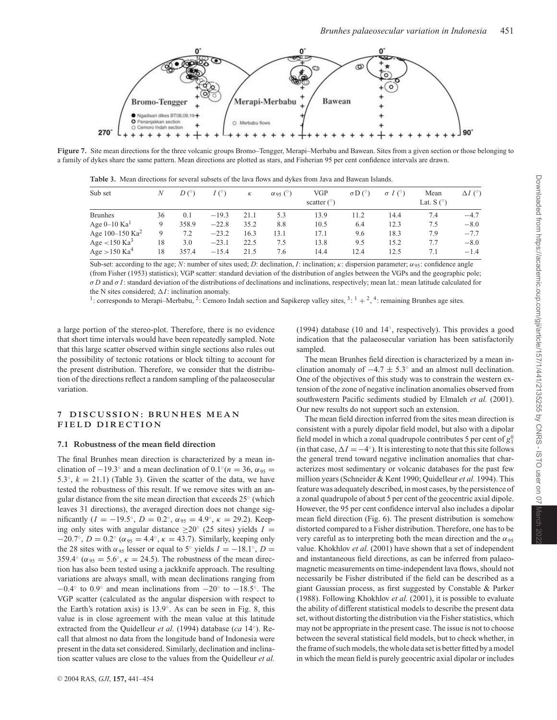

**Figure 7.** Site mean directions for the three volcanic groups Bromo–Tengger, Merapi–Merbabu and Bawean. Sites from a given section or those belonging to a family of dykes share the same pattern. Mean directions are plotted as stars, and Fisherian 95 per cent confidence intervals are drawn.

**Table 3.** Mean directions for several subsets of the lava flows and dykes from Java and Bawean Islands.

| Sub set                         | N  | D <sup>o</sup> | $I(\degree)$ | К    | $\alpha$ <sub>95</sub> (°) | <b>VGP</b><br>scatter $(^\circ)$ | $\sigma D$ ( $\circ$ ) | $\sigma I$ (°) | Mean<br>Lat. $S(°)$ | $\Delta I$ (°) |
|---------------------------------|----|----------------|--------------|------|----------------------------|----------------------------------|------------------------|----------------|---------------------|----------------|
| <b>Brunhes</b>                  | 36 | 0.1            | $-19.3$      | 21.1 | 5.3                        | 13.9                             | 11.2                   | 14.4           | 7.4                 | $-4.7$         |
| Age $0-10$ Ka <sup>1</sup>      | 9  | 358.9          | $-22.8$      | 35.2 | 8.8                        | 10.5                             | 6.4                    | 12.3           | 7.5                 | $-8.0$         |
| Age $100 - 150$ Ka <sup>2</sup> | 9  | 7.2            | $-23.2$      | 16.3 | 13.1                       | 17.1                             | 9.6                    | 18.3           | 7.9                 | $-7.7$         |
| Age $<$ 150 Ka <sup>3</sup>     | 18 | 3.0            | $-23.1$      | 22.5 | 7.5                        | 13.8                             | 9.5                    | 15.2           | 7.7                 | $-8.0$         |
| Age $>150$ Ka <sup>4</sup>      | 18 | 357.4          | $-15.4$      | 21.5 | 7.6                        | 14.4                             | 12.4                   | 12.5           | 7.1                 | $-1.4$         |

Sub-set: according to the age; *N*: number of sites used; *D*: declination, *I*: inclination; *κ*: dispersion parameter;  $\alpha_{95}$ : confidence angle (from Fisher (1953) statistics); VGP scatter: standard deviation of the distribution of angles between the VGPs and the geographic pole; σ *D* and σ *I*: standard deviation of the distributions of declinations and inclinations, respectively; mean lat.: mean latitude calculated for the N sites considered;  $\Delta I$ : inclination anomaly.

<sup>1</sup>: corresponds to Merapi–Merbabu, <sup>2</sup>: Cemoro Indah section and Sapikerep valley sites, <sup>3: 1</sup> + <sup>2</sup>, <sup>4</sup>: remaining Brunhes age sites.

a large portion of the stereo-plot. Therefore, there is no evidence that short time intervals would have been repeatedly sampled. Note that this large scatter observed within single sections also rules out the possibility of tectonic rotations or block tilting to account for the present distribution. Therefore, we consider that the distribution of the directions reflect a random sampling of the palaeosecular variation.

## **7 DISCUSSION: BRUNHES MEAN FIELD DIRECTION**

#### **7.1 Robustness of the mean field direction**

The final Brunhes mean direction is characterized by a mean inclination of  $-19.3°$  and a mean declination of  $0.1°(n = 36, \alpha_{95} =$ 5.3 $\degree$ ,  $k = 21.1$ ) (Table 3). Given the scatter of the data, we have tested the robustness of this result. If we remove sites with an angular distance from the site mean direction that exceeds 25◦ (which leaves 31 directions), the averaged direction does not change significantly ( $I = -19.5^\circ$ ,  $D = 0.2^\circ$ ,  $\alpha_{95} = 4.9^\circ$ ,  $\kappa = 29.2$ ). Keeping only sites with angular distance  $\geq$ 20° (25 sites) yields *I* = −20.7°, *D* = 0.2° ( $\alpha_{95}$  = 4.4°,  $\kappa$  = 43.7). Similarly, keeping only the 28 sites with  $\alpha_{95}$  lesser or equal to 5° yields  $I = -18.1$ °,  $D =$ 359.4° ( $\alpha_{95} = 5.6$ °,  $\kappa = 24.5$ ). The robustness of the mean direction has also been tested using a jackknife approach. The resulting variations are always small, with mean declinations ranging from  $-0.4°$  to  $0.9°$  and mean inclinations from  $-20°$  to  $-18.5°$ . The VGP scatter (calculated as the angular dispersion with respect to the Earth's rotation axis) is 13.9◦. As can be seen in Fig. 8, this value is in close agreement with the mean value at this latitude extracted from the Quidelleur *et al.* (1994) database (*ca* 14◦). Recall that almost no data from the longitude band of Indonesia were present in the data set considered. Similarly, declination and inclination scatter values are close to the values from the Quidelleur *et al.*

(1994) database (10 and 14◦, respectively). This provides a good indication that the palaeosecular variation has been satisfactorily sampled.

The mean Brunhes field direction is characterized by a mean inclination anomaly of  $-4.7 \pm 5.3^\circ$  and an almost null declination. One of the objectives of this study was to constrain the western extension of the zone of negative inclination anomalies observed from southwestern Pacific sediments studied by Elmaleh *et al.* (2001). Our new results do not support such an extension.

The mean field direction inferred from the sites mean direction is consistent with a purely dipolar field model, but also with a dipolar field model in which a zonal quadrupole contributes 5 per cent of  $g_1^0$ (in that case,  $\Delta I = -4^\circ$ ). It is interesting to note that this site follows the general trend toward negative inclination anomalies that characterizes most sedimentary or volcanic databases for the past few million years (Schneider & Kent 1990; Quidelleur *et al.* 1994). This feature was adequately described, in most cases, by the persistence of a zonal quadrupole of about 5 per cent of the geocentric axial dipole. However, the 95 per cent confidence interval also includes a dipolar mean field direction (Fig. 6). The present distribution is somehow distorted compared to a Fisher distribution. Therefore, one has to be very careful as to interpreting both the mean direction and the  $\alpha_{95}$ value. Khokhlov *et al.* (2001) have shown that a set of independent and instantaneous field directions, as can be inferred from palaeomagnetic measurements on time-independent lava flows, should not necessarily be Fisher distributed if the field can be described as a giant Gaussian process, as first suggested by Constable & Parker (1988). Following Khokhlov *et al.* (2001), it is possible to evaluate the ability of different statistical models to describe the present data set, without distorting the distribution via the Fisher statistics, which may not be appropriate in the present case. The issue is not to choose between the several statistical field models, but to check whether, in the frame of such models, the whole data set is better fitted by a model in which the mean field is purely geocentric axial dipolar or includes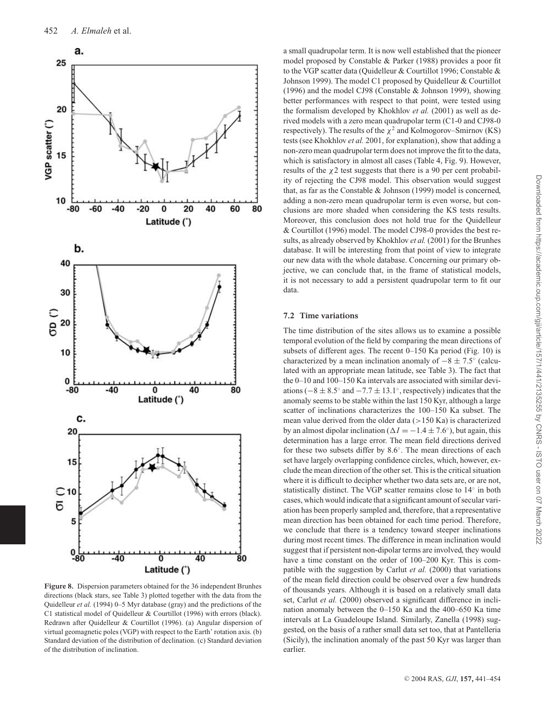

**Figure 8.** Dispersion parameters obtained for the 36 independent Brunhes directions (black stars, see Table 3) plotted together with the data from the Quidelleur *et al.* (1994) 0–5 Myr database (gray) and the predictions of the C1 statistical model of Quidelleur & Courtillot (1996) with errors (black). Redrawn after Quidelleur & Courtillot (1996). (a) Angular dispersion of virtual geomagnetic poles (VGP) with respect to the Earth' rotation axis. (b) Standard deviation of the distribution of declination. (c) Standard deviation of the distribution of inclination.

a small quadrupolar term. It is now well established that the pioneer model proposed by Constable & Parker (1988) provides a poor fit to the VGP scatter data (Quidelleur & Courtillot 1996; Constable & Johnson 1999). The model C1 proposed by Quidelleur & Courtillot (1996) and the model CJ98 (Constable & Johnson 1999), showing better performances with respect to that point, were tested using the formalism developed by Khokhlov *et al.* (2001) as well as derived models with a zero mean quadrupolar term (C1-0 and CJ98-0 respectively). The results of the  $\chi^2$  and Kolmogorov–Smirnov (KS) tests (see Khokhlov *et al.* 2001, for explanation), show that adding a non-zero mean quadrupolar term does not improve the fit to the data, which is satisfactory in almost all cases (Table 4, Fig. 9). However, results of the  $\chi$ 2 test suggests that there is a 90 per cent probability of rejecting the CJ98 model. This observation would suggest that, as far as the Constable & Johnson (1999) model is concerned, adding a non-zero mean quadrupolar term is even worse, but conclusions are more shaded when considering the KS tests results. Moreover, this conclusion does not hold true for the Quidelleur & Courtillot (1996) model. The model CJ98-0 provides the best results, as already observed by Khokhlov *et al.* (2001) for the Brunhes database. It will be interesting from that point of view to integrate our new data with the whole database. Concerning our primary objective, we can conclude that, in the frame of statistical models, it is not necessary to add a persistent quadrupolar term to fit our data.

#### **7.2 Time variations**

The time distribution of the sites allows us to examine a possible temporal evolution of the field by comparing the mean directions of subsets of different ages. The recent 0–150 Ka period (Fig. 10) is characterized by a mean inclination anomaly of  $-8 \pm 7.5^\circ$  (calculated with an appropriate mean latitude, see Table 3). The fact that the 0–10 and 100–150 Ka intervals are associated with similar deviations ( $-8 \pm 8.5^\circ$  and  $-7.7 \pm 13.1^\circ$ , respectively) indicates that the anomaly seems to be stable within the last 150 Kyr, although a large scatter of inclinations characterizes the 100–150 Ka subset. The mean value derived from the older data  $(>150$  Ka) is characterized by an almost dipolar inclination ( $\Delta I = -1.4 \pm 7.6^{\circ}$ ), but again, this determination has a large error. The mean field directions derived for these two subsets differ by 8.6◦. The mean directions of each set have largely overlapping confidence circles, which, however, exclude the mean direction of the other set. This is the critical situation where it is difficult to decipher whether two data sets are, or are not, statistically distinct. The VGP scatter remains close to 14◦ in both cases, which would indicate that a significant amount of secular variation has been properly sampled and, therefore, that a representative mean direction has been obtained for each time period. Therefore, we conclude that there is a tendency toward steeper inclinations during most recent times. The difference in mean inclination would suggest that if persistent non-dipolar terms are involved, they would have a time constant on the order of 100–200 Kyr. This is compatible with the suggestion by Carlut *et al.* (2000) that variations of the mean field direction could be observed over a few hundreds of thousands years. Although it is based on a relatively small data set, Carlut *et al.* (2000) observed a significant difference in inclination anomaly between the 0–150 Ka and the 400–650 Ka time intervals at La Guadeloupe Island. Similarly, Zanella (1998) suggested, on the basis of a rather small data set too, that at Pantelleria (Sicily), the inclination anomaly of the past 50 Kyr was larger than earlier.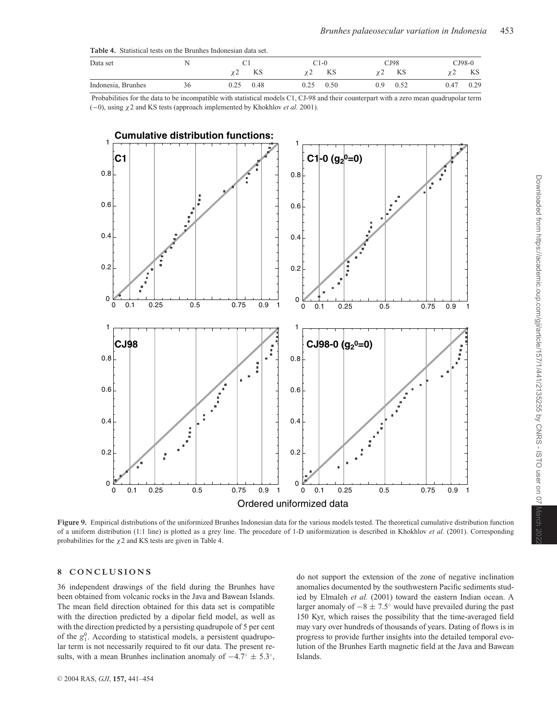| Data set           |    |              | C1-0         | CJ98        | $\square$ J98-0 |
|--------------------|----|--------------|--------------|-------------|-----------------|
|                    |    | KS<br>ے :    | KS           | KS          | KS<br>. .       |
| Indonesia, Brunhes | 36 | 0.48<br>0.25 | 0.50<br>0.25 | 0.52<br>0.9 | 0.29<br>0.47    |

Probabilities for the data to be incompatible with statistical models C1, CJ-98 and their counterpart with a zero mean quadrupolar term (−0), using χ2 and KS tests (approach implemented by Khokhlov *et al.* 2001).



**Figure 9.** Empirical distributions of the uniformized Brunhes Indonesian data for the various models tested. The theoretical cumulative distribution function of a uniform distribution (1:1 line) is plotted as a grey line. The procedure of 1-D uniformization is described in Khokhlov *et al.* (2001). Corresponding probabilities for the  $\chi$ 2 and KS tests are given in Table 4.

## **8 CONCLUSIONS**

36 independent drawings of the field during the Brunhes have been obtained from volcanic rocks in the Java and Bawean Islands. The mean field direction obtained for this data set is compatible with the direction predicted by a dipolar field model, as well as with the direction predicted by a persisting quadrupole of 5 per cent of the  $g_1^0$ . According to statistical models, a persistent quadrupolar term is not necessarily required to fit our data. The present results, with a mean Brunhes inclination anomaly of  $-4.7° \pm 5.3°$ , do not support the extension of the zone of negative inclination anomalies documented by the southwestern Pacific sediments studied by Elmaleh *et al.* (2001) toward the eastern Indian ocean. A larger anomaly of  $-8 \pm 7.5^\circ$  would have prevailed during the past 150 Kyr, which raises the possibility that the time-averaged field may vary over hundreds of thousands of years. Dating of flows is in progress to provide further insights into the detailed temporal evolution of the Brunhes Earth magnetic field at the Java and Bawean Islands.